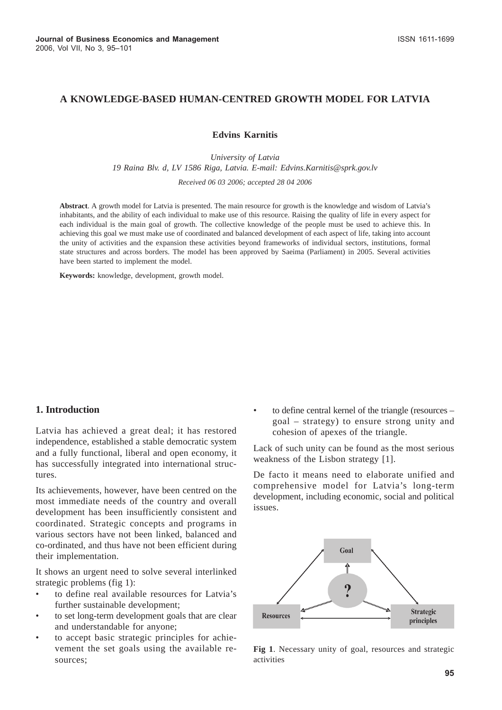# **A KNOWLEDGE-BASED HUMAN-CENTRED GROWTH MODEL FOR LATVIA**

**Edvins Karnitis**

*University of Latvia 19 Raina Blv. d, LV 1586 Riga, Latvia. E-mail: Edvins.Karnitis@sprk.gov.lv Received 06 03 2006; accepted 28 04 2006*

**Abstract**. A growth model for Latvia is presented. The main resource for growth is the knowledge and wisdom of Latvia's inhabitants, and the ability of each individual to make use of this resource. Raising the quality of life in every aspect for each individual is the main goal of growth. The collective knowledge of the people must be used to achieve this. In achieving this goal we must make use of coordinated and balanced development of each aspect of life, taking into account the unity of activities and the expansion these activities beyond frameworks of individual sectors, institutions, formal state structures and across borders. The model has been approved by Saeima (Parliament) in 2005. Several activities have been started to implement the model.

**Keywords:** knowledge, development, growth model.

#### **1. Introduction**

Latvia has achieved a great deal; it has restored independence, established a stable democratic system and a fully functional, liberal and open economy, it has successfully integrated into international structures.

Its achievements, however, have been centred on the most immediate needs of the country and overall development has been insufficiently consistent and coordinated. Strategic concepts and programs in various sectors have not been linked, balanced and co-ordinated, and thus have not been efficient during their implementation.

It shows an urgent need to solve several interlinked strategic problems (fig 1):

- to define real available resources for Latvia's further sustainable development;
- to set long-term development goals that are clear and understandable for anyone;
- to accept basic strategic principles for achievement the set goals using the available resources;

• to define central kernel of the triangle (resources – goal – strategy) to ensure strong unity and cohesion of apexes of the triangle.

Lack of such unity can be found as the most serious weakness of the Lisbon strategy [1].

De facto it means need to elaborate unified and comprehensive model for Latvia's long-term development, including economic, social and political issues.



**Fig 1**. Necessary unity of goal, resources and strategic activities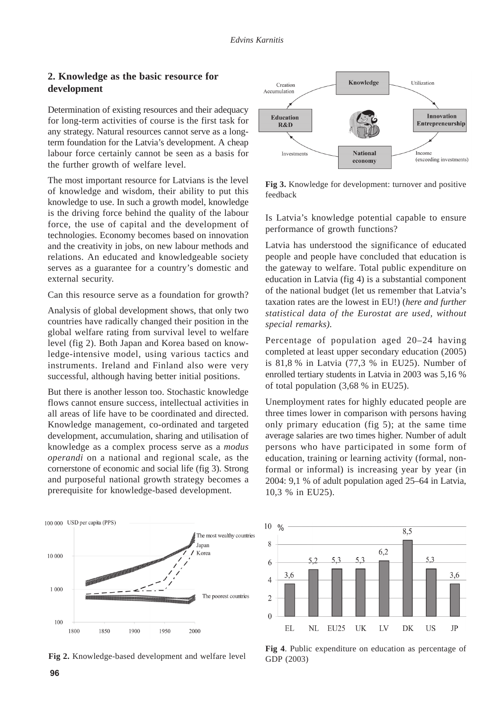## **2. Knowledge as the basic resource for development**

Determination of existing resources and their adequacy for long-term activities of course is the first task for any strategy. Natural resources cannot serve as a longterm foundation for the Latvia's development. A cheap labour force certainly cannot be seen as a basis for the further growth of welfare level.

The most important resource for Latvians is the level of knowledge and wisdom, their ability to put this knowledge to use. In such a growth model, knowledge is the driving force behind the quality of the labour force, the use of capital and the development of technologies. Economy becomes based on innovation and the creativity in jobs, on new labour methods and relations. An educated and knowledgeable society serves as a guarantee for a country's domestic and external security.

Can this resource serve as a foundation for growth?

Analysis of global development shows, that only two countries have radically changed their position in the global welfare rating from survival level to welfare level (fig 2). Both Japan and Korea based on knowledge-intensive model, using various tactics and instruments. Ireland and Finland also were very successful, although having better initial positions.

But there is another lesson too. Stochastic knowledge flows cannot ensure success, intellectual activities in all areas of life have to be coordinated and directed. Knowledge management, co-ordinated and targeted development, accumulation, sharing and utilisation of knowledge as a complex process serve as a *modus operandi* on a national and regional scale, as the cornerstone of economic and social life (fig 3). Strong and purposeful national growth strategy becomes a prerequisite for knowledge-based development.



**Fig 2.** Knowledge-based development and welfare level



**Fig 3.** Knowledge for development: turnover and positive feedback

Is Latvia's knowledge potential capable to ensure performance of growth functions?

Latvia has understood the significance of educated people and people have concluded that education is the gateway to welfare. Total public expenditure on education in Latvia (fig 4) is a substantial component of the national budget (let us remember that Latvia's taxation rates are the lowest in EU!) (*here and further statistical data of the Eurostat are used, without special remarks).*

Percentage of population aged 20–24 having completed at least upper secondary education (2005) is 81,8 % in Latvia (77,3 % in EU25). Number of enrolled tertiary students in Latvia in 2003 was 5,16 % of total population (3,68 % in EU25).

Unemployment rates for highly educated people are three times lower in comparison with persons having only primary education (fig 5); at the same time average salaries are two times higher. Number of adult persons who have participated in some form of education, training or learning activity (formal, nonformal or informal) is increasing year by year (in 2004: 9,1 % of adult population aged 25–64 in Latvia, 10,3 % in EU25).



**Fig 4**. Public expenditure on education as percentage of GDP (2003)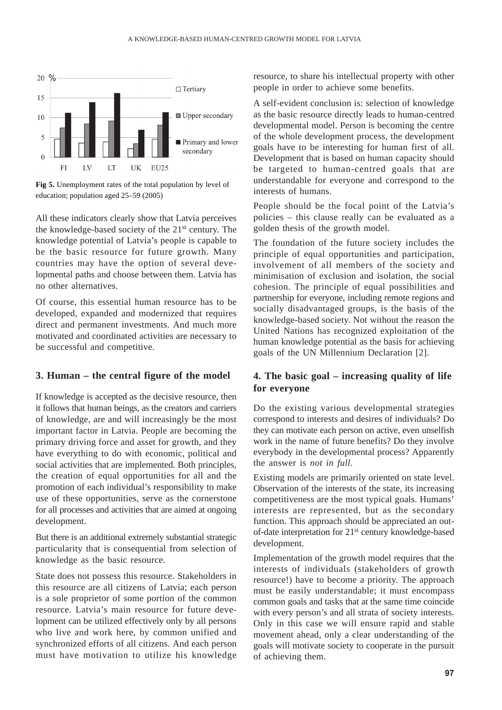

**Fig 5.** Unemployment rates of the total population by level of education; population aged 25–59 (2005)

All these indicators clearly show that Latvia perceives the knowledge-based society of the 21st century. The knowledge potential of Latvia's people is capable to be the basic resource for future growth. Many countries may have the option of several developmental paths and choose between them. Latvia has no other alternatives.

Of course, this essential human resource has to be developed, expanded and modernized that requires direct and permanent investments. And much more motivated and coordinated activities are necessary to be successful and competitive.

## **3. Human – the central figure of the model**

If knowledge is accepted as the decisive resource, then it follows that human beings, as the creators and carriers of knowledge, are and will increasingly be the most important factor in Latvia. People are becoming the primary driving force and asset for growth, and they have everything to do with economic, political and social activities that are implemented. Both principles, the creation of equal opportunities for all and the promotion of each individual's responsibility to make use of these opportunities, serve as the cornerstone for all processes and activities that are aimed at ongoing development.

But there is an additional extremely substantial strategic particularity that is consequential from selection of knowledge as the basic resource.

State does not possess this resource. Stakeholders in this resource are all citizens of Latvia; each person is a sole proprietor of some portion of the common resource. Latvia's main resource for future development can be utilized effectively only by all persons who live and work here, by common unified and synchronized efforts of all citizens. And each person must have motivation to utilize his knowledge

resource, to share his intellectual property with other people in order to achieve some benefits.

A self-evident conclusion is: selection of knowledge as the basic resource directly leads to human-centred developmental model. Person is becoming the centre of the whole development process, the development goals have to be interesting for human first of all. Development that is based on human capacity should be targeted to human-centred goals that are understandable for everyone and correspond to the interests of humans.

People should be the focal point of the Latvia's policies – this clause really can be evaluated as a golden thesis of the growth model.

The foundation of the future society includes the principle of equal opportunities and participation, involvement of all members of the society and minimisation of exclusion and isolation, the social cohesion. The principle of equal possibilities and partnership for everyone, including remote regions and socially disadvantaged groups, is the basis of the knowledge-based society. Not without the reason the United Nations has recognized exploitation of the human knowledge potential as the basis for achieving goals of the UN Millennium Declaration [2].

## **4. The basic goal – increasing quality of life for everyone**

Do the existing various developmental strategies correspond to interests and desires of individuals? Do they can motivate each person on active, even unselfish work in the name of future benefits? Do they involve everybody in the developmental process? Apparently the answer is *not in full*.

Existing models are primarily oriented on state level. Observation of the interests of the state, its increasing competitiveness are the most typical goals. Humans' interests are represented, but as the secondary function. This approach should be appreciated an outof-date interpretation for 21st century knowledge-based development.

Implementation of the growth model requires that the interests of individuals (stakeholders of growth resource!) have to become a priority. The approach must be easily understandable; it must encompass common goals and tasks that at the same time coincide with every person's and all strata of society interests. Only in this case we will ensure rapid and stable movement ahead, only a clear understanding of the goals will motivate society to cooperate in the pursuit of achieving them.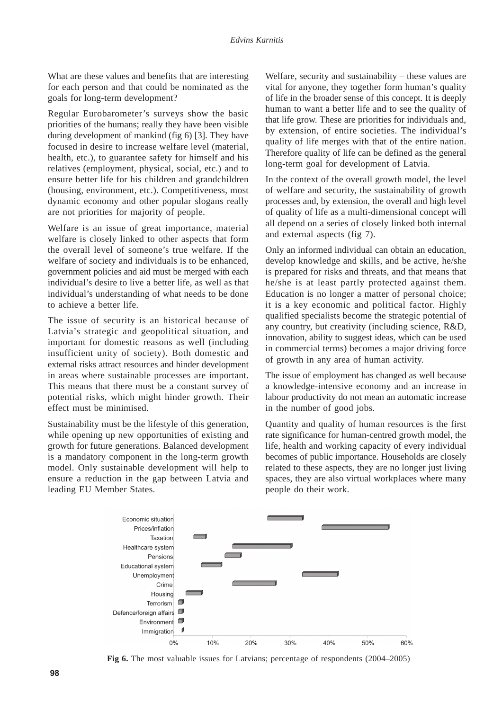What are these values and benefits that are interesting for each person and that could be nominated as the goals for long-term development?

Regular Eurobarometer's surveys show the basic priorities of the humans; really they have been visible during development of mankind (fig 6) [3]. They have focused in desire to increase welfare level (material, health, etc.), to guarantee safety for himself and his relatives (employment, physical, social, etc.) and to ensure better life for his children and grandchildren (housing, environment, etc.). Competitiveness, most dynamic economy and other popular slogans really are not priorities for majority of people.

Welfare is an issue of great importance, material welfare is closely linked to other aspects that form the overall level of someone's true welfare. If the welfare of society and individuals is to be enhanced, government policies and aid must be merged with each individual's desire to live a better life, as well as that individual's understanding of what needs to be done to achieve a better life.

The issue of security is an historical because of Latvia's strategic and geopolitical situation, and important for domestic reasons as well (including insufficient unity of society). Both domestic and external risks attract resources and hinder development in areas where sustainable processes are important. This means that there must be a constant survey of potential risks, which might hinder growth. Their effect must be minimised.

Sustainability must be the lifestyle of this generation, while opening up new opportunities of existing and growth for future generations. Balanced development is a mandatory component in the long-term growth model. Only sustainable development will help to ensure a reduction in the gap between Latvia and leading EU Member States.

Welfare, security and sustainability – these values are vital for anyone, they together form human's quality of life in the broader sense of this concept. It is deeply human to want a better life and to see the quality of that life grow. These are priorities for individuals and, by extension, of entire societies. The individual's quality of life merges with that of the entire nation. Therefore quality of life can be defined as the general long-term goal for development of Latvia.

In the context of the overall growth model, the level of welfare and security, the sustainability of growth processes and, by extension, the overall and high level of quality of life as a multi-dimensional concept will all depend on a series of closely linked both internal and external aspects (fig 7).

Only an informed individual can obtain an education, develop knowledge and skills, and be active, he/she is prepared for risks and threats, and that means that he/she is at least partly protected against them. Education is no longer a matter of personal choice; it is a key economic and political factor. Highly qualified specialists become the strategic potential of any country, but creativity (including science, R&D, innovation, ability to suggest ideas, which can be used in commercial terms) becomes a major driving force of growth in any area of human activity.

The issue of employment has changed as well because a knowledge-intensive economy and an increase in labour productivity do not mean an automatic increase in the number of good jobs.

Quantity and quality of human resources is the first rate significance for human-centred growth model, the life, health and working capacity of every individual becomes of public importance. Households are closely related to these aspects, they are no longer just living spaces, they are also virtual workplaces where many people do their work.



**Fig 6.** The most valuable issues for Latvians; percentage of respondents (2004–2005)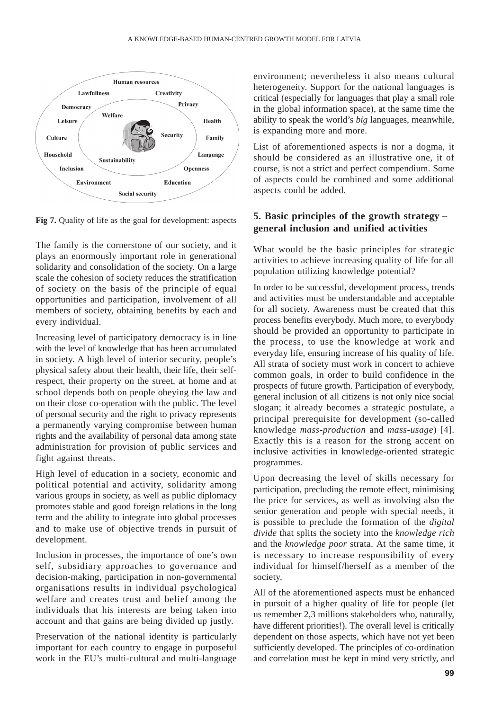

**Fig 7.** Quality of life as the goal for development: aspects

The family is the cornerstone of our society, and it plays an enormously important role in generational solidarity and consolidation of the society. On a large scale the cohesion of society reduces the stratification of society on the basis of the principle of equal opportunities and participation, involvement of all members of society, obtaining benefits by each and every individual.

Increasing level of participatory democracy is in line with the level of knowledge that has been accumulated in society. A high level of interior security, people's physical safety about their health, their life, their selfrespect, their property on the street, at home and at school depends both on people obeying the law and on their close co-operation with the public. The level of personal security and the right to privacy represents a permanently varying compromise between human rights and the availability of personal data among state administration for provision of public services and fight against threats.

High level of education in a society, economic and political potential and activity, solidarity among various groups in society, as well as public diplomacy promotes stable and good foreign relations in the long term and the ability to integrate into global processes and to make use of objective trends in pursuit of development.

Inclusion in processes, the importance of one's own self, subsidiary approaches to governance and decision-making, participation in non-governmental organisations results in individual psychological welfare and creates trust and belief among the individuals that his interests are being taken into account and that gains are being divided up justly.

Preservation of the national identity is particularly important for each country to engage in purposeful work in the EU's multi-cultural and multi-language environment; nevertheless it also means cultural heterogeneity. Support for the national languages is critical (especially for languages that play a small role in the global information space), at the same time the ability to speak the world's *big* languages, meanwhile, is expanding more and more.

List of aforementioned aspects is nor a dogma, it should be considered as an illustrative one, it of course, is not a strict and perfect compendium. Some of aspects could be combined and some additional aspects could be added.

## **5. Basic principles of the growth strategy – general inclusion and unified activities**

What would be the basic principles for strategic activities to achieve increasing quality of life for all population utilizing knowledge potential?

In order to be successful, development process, trends and activities must be understandable and acceptable for all society. Awareness must be created that this process benefits everybody. Much more, to everybody should be provided an opportunity to participate in the process, to use the knowledge at work and everyday life, ensuring increase of his quality of life. All strata of society must work in concert to achieve common goals, in order to build confidence in the prospects of future growth. Participation of everybody, general inclusion of all citizens is not only nice social slogan; it already becomes a strategic postulate, a principal prerequisite for development (so-called knowledge *mass-production* and *mass-usage*) [4]. Exactly this is a reason for the strong accent on inclusive activities in knowledge-oriented strategic programmes.

Upon decreasing the level of skills necessary for participation, precluding the remote effect, minimising the price for services, as well as involving also the senior generation and people with special needs, it is possible to preclude the formation of the *digital divide* that splits the society into the *knowledge rich* and the *knowledge poor* strata. At the same time, it is necessary to increase responsibility of every individual for himself/herself as a member of the society.

All of the aforementioned aspects must be enhanced in pursuit of a higher quality of life for people (let us remember 2,3 millions stakeholders who, naturally, have different priorities!). The overall level is critically dependent on those aspects, which have not yet been sufficiently developed. The principles of co-ordination and correlation must be kept in mind very strictly, and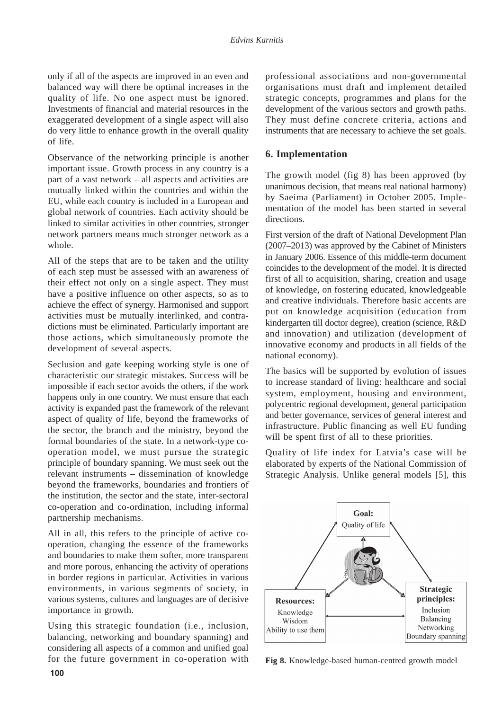only if all of the aspects are improved in an even and balanced way will there be optimal increases in the quality of life. No one aspect must be ignored. Investments of financial and material resources in the exaggerated development of a single aspect will also do very little to enhance growth in the overall quality of life.

Observance of the networking principle is another important issue. Growth process in any country is a part of a vast network – all aspects and activities are mutually linked within the countries and within the EU, while each country is included in a European and global network of countries. Each activity should be linked to similar activities in other countries, stronger network partners means much stronger network as a whole.

All of the steps that are to be taken and the utility of each step must be assessed with an awareness of their effect not only on a single aspect. They must have a positive influence on other aspects, so as to achieve the effect of synergy. Harmonised and support activities must be mutually interlinked, and contradictions must be eliminated. Particularly important are those actions, which simultaneously promote the development of several aspects.

Seclusion and gate keeping working style is one of characteristic our strategic mistakes. Success will be impossible if each sector avoids the others, if the work happens only in one country. We must ensure that each activity is expanded past the framework of the relevant aspect of quality of life, beyond the frameworks of the sector, the branch and the ministry, beyond the formal boundaries of the state. In a network-type cooperation model, we must pursue the strategic principle of boundary spanning. We must seek out the relevant instruments – dissemination of knowledge beyond the frameworks, boundaries and frontiers of the institution, the sector and the state, inter-sectoral co-operation and co-ordination, including informal partnership mechanisms.

All in all, this refers to the principle of active cooperation, changing the essence of the frameworks and boundaries to make them softer, more transparent and more porous, enhancing the activity of operations in border regions in particular. Activities in various environments, in various segments of society, in various systems, cultures and languages are of decisive importance in growth.

Using this strategic foundation (i.e., inclusion, balancing, networking and boundary spanning) and considering all aspects of a common and unified goal for the future government in co-operation with professional associations and non-governmental organisations must draft and implement detailed strategic concepts, programmes and plans for the development of the various sectors and growth paths. They must define concrete criteria, actions and instruments that are necessary to achieve the set goals.

#### **6. Implementation**

The growth model (fig 8) has been approved (by unanimous decision, that means real national harmony) by Saeima (Parliament) in October 2005. Implementation of the model has been started in several directions.

First version of the draft of National Development Plan (2007–2013) was approved by the Cabinet of Ministers in January 2006. Essence of this middle-term document coincides to the development of the model. It is directed first of all to acquisition, sharing, creation and usage of knowledge, on fostering educated, knowledgeable and creative individuals. Therefore basic accents are put on knowledge acquisition (education from kindergarten till doctor degree), creation (science, R&D and innovation) and utilization (development of innovative economy and products in all fields of the national economy).

The basics will be supported by evolution of issues to increase standard of living: healthcare and social system, employment, housing and environment, polycentric regional development, general participation and better governance, services of general interest and infrastructure. Public financing as well EU funding will be spent first of all to these priorities.

Quality of life index for Latvia's case will be elaborated by experts of the National Commission of Strategic Analysis. Unlike general models [5], this



**Fig 8.** Knowledge-based human-centred growth model